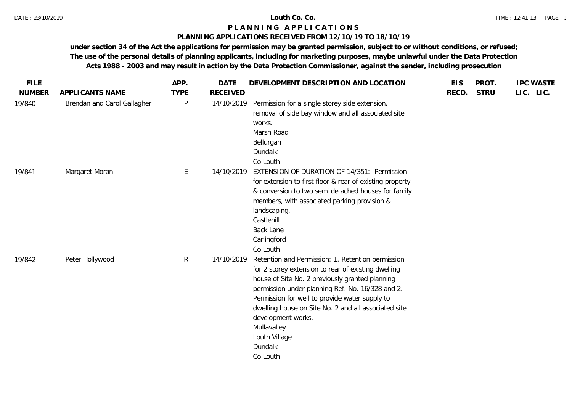### **PLANNING APPLICATIONS RECEIVED FROM 12/10/19 TO 18/10/19**

| <b>FILE</b>   |                             | APP.         | <b>DATE</b>     | DEVELOPMENT DESCRIPTION AND LOCATION                                                                                                                                                                                                                                                                                                                                                                   | <b>EIS</b> | PROT.       | <b>IPC WASTE</b> |
|---------------|-----------------------------|--------------|-----------------|--------------------------------------------------------------------------------------------------------------------------------------------------------------------------------------------------------------------------------------------------------------------------------------------------------------------------------------------------------------------------------------------------------|------------|-------------|------------------|
| <b>NUMBER</b> | APPLICANTS NAME             | <b>TYPE</b>  | <b>RECEIVED</b> |                                                                                                                                                                                                                                                                                                                                                                                                        | RECD.      | <b>STRU</b> | LIC. LIC.        |
| 19/840        | Brendan and Carol Gallagher | P            | 14/10/2019      | Permission for a single storey side extension,<br>removal of side bay window and all associated site<br>works.<br>Marsh Road<br>Bellurgan<br>Dundalk<br>Co Louth                                                                                                                                                                                                                                       |            |             |                  |
| 19/841        | Margaret Moran              | E            | 14/10/2019      | EXTENSION OF DURATION OF 14/351: Permission<br>for extension to first floor & rear of existing property<br>& conversion to two semi detached houses for family<br>members, with associated parking provision &<br>landscaping.<br>Castlehill<br><b>Back Lane</b><br>Carlingford<br>Co Louth                                                                                                            |            |             |                  |
| 19/842        | Peter Hollywood             | $\mathsf{R}$ | 14/10/2019      | Retention and Permission: 1. Retention permission<br>for 2 storey extension to rear of existing dwelling<br>house of Site No. 2 previously granted planning<br>permission under planning Ref. No. 16/328 and 2.<br>Permission for well to provide water supply to<br>dwelling house on Site No. 2 and all associated site<br>development works.<br>Mullavalley<br>Louth Village<br>Dundalk<br>Co Louth |            |             |                  |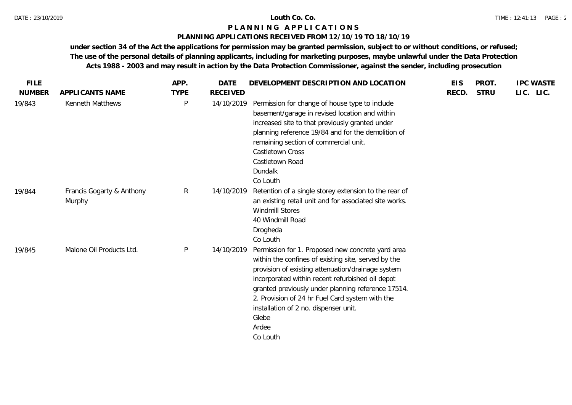### **PLANNING APPLICATIONS RECEIVED FROM 12/10/19 TO 18/10/19**

| <b>FILE</b>   |                                     | APP.        | <b>DATE</b>     | DEVELOPMENT DESCRIPTION AND LOCATION                                                                                                                                                                                                                                                                                                                                                              | <b>EIS</b> | PROT.       | <b>IPC WASTE</b> |
|---------------|-------------------------------------|-------------|-----------------|---------------------------------------------------------------------------------------------------------------------------------------------------------------------------------------------------------------------------------------------------------------------------------------------------------------------------------------------------------------------------------------------------|------------|-------------|------------------|
| <b>NUMBER</b> | APPLICANTS NAME                     | <b>TYPE</b> | <b>RECEIVED</b> |                                                                                                                                                                                                                                                                                                                                                                                                   | RECD.      | <b>STRU</b> | LIC. LIC.        |
| 19/843        | Kenneth Matthews                    | P           | 14/10/2019      | Permission for change of house type to include<br>basement/garage in revised location and within<br>increased site to that previously granted under<br>planning reference 19/84 and for the demolition of<br>remaining section of commercial unit.<br>Castletown Cross<br>Castletown Road<br>Dundalk<br>Co Louth                                                                                  |            |             |                  |
| 19/844        | Francis Gogarty & Anthony<br>Murphy | R           | 14/10/2019      | Retention of a single storey extension to the rear of<br>an existing retail unit and for associated site works.<br>Windmill Stores<br>40 Windmill Road<br>Drogheda<br>Co Louth                                                                                                                                                                                                                    |            |             |                  |
| 19/845        | Malone Oil Products Ltd.            | P           | 14/10/2019      | Permission for 1. Proposed new concrete yard area<br>within the confines of existing site, served by the<br>provision of existing attenuation/drainage system<br>incorporated within recent refurbished oil depot<br>granted previously under planning reference 17514.<br>2. Provision of 24 hr Fuel Card system with the<br>installation of 2 no. dispenser unit.<br>Glebe<br>Ardee<br>Co Louth |            |             |                  |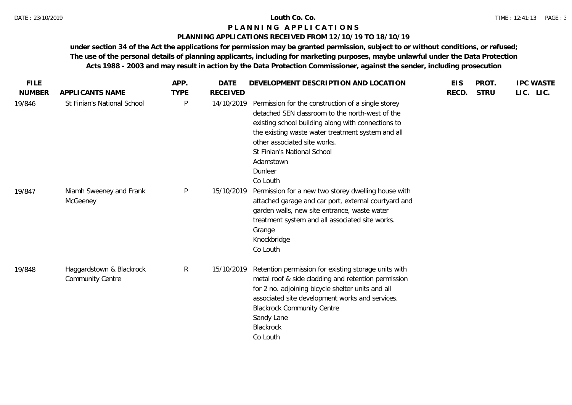## **PLANNING APPLICATIONS RECEIVED FROM 12/10/19 TO 18/10/19**

| <b>FILE</b>   |                                                     | APP.         | <b>DATE</b>     | DEVELOPMENT DESCRIPTION AND LOCATION                                                                                                                                                                                                                                                                                | <b>EIS</b> | PROT.       | <b>IPC WASTE</b> |
|---------------|-----------------------------------------------------|--------------|-----------------|---------------------------------------------------------------------------------------------------------------------------------------------------------------------------------------------------------------------------------------------------------------------------------------------------------------------|------------|-------------|------------------|
| <b>NUMBER</b> | APPLICANTS NAME                                     | <b>TYPE</b>  | <b>RECEIVED</b> |                                                                                                                                                                                                                                                                                                                     | RECD.      | <b>STRU</b> | LIC. LIC.        |
| 19/846        | St Finian's National School                         | $\mathsf{P}$ | 14/10/2019      | Permission for the construction of a single storey<br>detached SEN classroom to the north-west of the<br>existing school building along with connections to<br>the existing waste water treatment system and all<br>other associated site works.<br>St Finian's National School<br>Adamstown<br>Dunleer<br>Co Louth |            |             |                  |
| 19/847        | Niamh Sweeney and Frank<br>McGeeney                 | $\mathsf{P}$ | 15/10/2019      | Permission for a new two storey dwelling house with<br>attached garage and car port, external courtyard and<br>garden walls, new site entrance, waste water<br>treatment system and all associated site works.<br>Grange<br>Knockbridge<br>Co Louth                                                                 |            |             |                  |
| 19/848        | Haggardstown & Blackrock<br><b>Community Centre</b> | $\mathsf{R}$ | 15/10/2019      | Retention permission for existing storage units with<br>metal roof & side cladding and retention permission<br>for 2 no. adjoining bicycle shelter units and all<br>associated site development works and services.<br><b>Blackrock Community Centre</b><br>Sandy Lane<br>Blackrock<br>Co Louth                     |            |             |                  |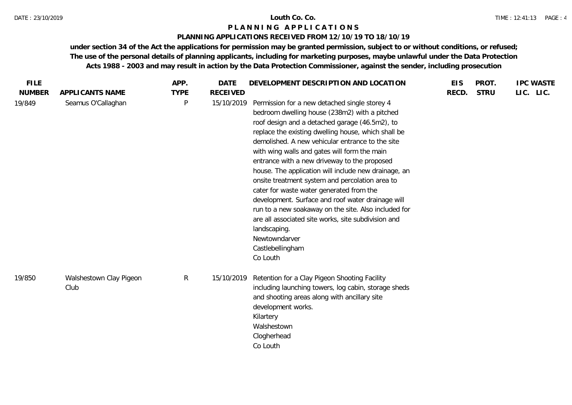## **PLANNING APPLICATIONS RECEIVED FROM 12/10/19 TO 18/10/19**

| APPLICANTS NAME                 | <b>TYPE</b>  | <b>RECEIVED</b> |                                                                                                                                                                                                                                                                                                                                                                                                                                                                                                                                                                                                                                                                                                                                                         |            |             |           |
|---------------------------------|--------------|-----------------|---------------------------------------------------------------------------------------------------------------------------------------------------------------------------------------------------------------------------------------------------------------------------------------------------------------------------------------------------------------------------------------------------------------------------------------------------------------------------------------------------------------------------------------------------------------------------------------------------------------------------------------------------------------------------------------------------------------------------------------------------------|------------|-------------|-----------|
|                                 |              |                 |                                                                                                                                                                                                                                                                                                                                                                                                                                                                                                                                                                                                                                                                                                                                                         | RECD.      | <b>STRU</b> | LIC. LIC. |
| Seamus O'Callaghan              | P            | 15/10/2019      | Permission for a new detached single storey 4<br>bedroom dwelling house (238m2) with a pitched<br>roof design and a detached garage (46.5m2), to<br>replace the existing dwelling house, which shall be<br>demolished. A new vehicular entrance to the site<br>with wing walls and gates will form the main<br>entrance with a new driveway to the proposed<br>house. The application will include new drainage, an<br>onsite treatment system and percolation area to<br>cater for waste water generated from the<br>development. Surface and roof water drainage will<br>run to a new soakaway on the site. Also included for<br>are all associated site works, site subdivision and<br>landscaping.<br>Newtowndarver<br>Castlebellingham<br>Co Louth |            |             |           |
| Walshestown Clay Pigeon<br>Club | $\mathsf{R}$ |                 | Retention for a Clay Pigeon Shooting Facility<br>including launching towers, log cabin, storage sheds<br>and shooting areas along with ancillary site<br>development works.<br>Kilartery<br>Walshestown<br>Clogherhead<br>Co Louth                                                                                                                                                                                                                                                                                                                                                                                                                                                                                                                      |            |             |           |
|                                 |              |                 |                                                                                                                                                                                                                                                                                                                                                                                                                                                                                                                                                                                                                                                                                                                                                         | 15/10/2019 |             |           |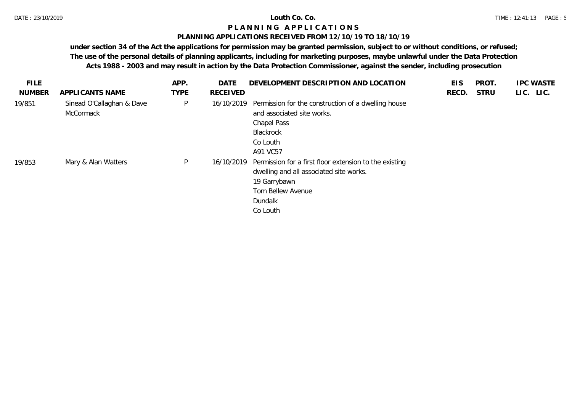## **PLANNING APPLICATIONS RECEIVED FROM 12/10/19 TO 18/10/19**

| <b>FILE</b>   |                                        | APP.        | <b>DATE</b> | DEVELOPMENT DESCRIPTION AND LOCATION                                                                                                                          | <b>EIS</b> | <b>PROT</b> | <b>IPC WASTE</b> |
|---------------|----------------------------------------|-------------|-------------|---------------------------------------------------------------------------------------------------------------------------------------------------------------|------------|-------------|------------------|
| <b>NUMBER</b> | APPLICANTS NAME                        | <b>TYPE</b> | RECEIVED    |                                                                                                                                                               | RECD.      | <b>STRU</b> | LIC. LIC.        |
| 19/851        | Sinead O'Callaghan & Dave<br>McCormack | P           | 16/10/2019  | Permission for the construction of a dwelling house<br>and associated site works.<br>Chapel Pass<br>Blackrock<br>Co Louth<br>A91 VC57                         |            |             |                  |
| 19/853        | Mary & Alan Watters                    | P           | 16/10/2019  | Permission for a first floor extension to the existing<br>dwelling and all associated site works.<br>19 Garrybawn<br>Tom Bellew Avenue<br>Dundalk<br>Co Louth |            |             |                  |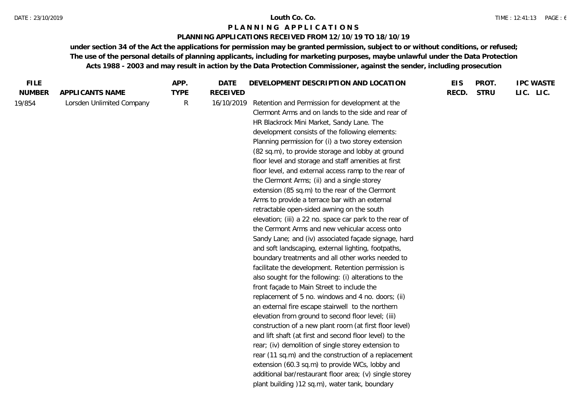## **PLANNING APPLICATIONS RECEIVED FROM 12/10/19 TO 18/10/19**

| LIC. LIC.<br>RECD.<br><b>STRU</b><br><b>NUMBER</b><br>APPLICANTS NAME<br><b>TYPE</b><br><b>RECEIVED</b><br>Lorsden Unlimited Company<br>R<br>Retention and Permission for development at the<br>19/854<br>16/10/2019<br>Clermont Arms and on lands to the side and rear of<br>HR Blackrock Mini Market, Sandy Lane. The<br>development consists of the following elements:<br>Planning permission for (i) a two storey extension<br>(82 sq.m), to provide storage and lobby at ground<br>floor level and storage and staff amenities at first<br>floor level, and external access ramp to the rear of<br>the Clermont Arms; (ii) and a single storey<br>extension (85 sq.m) to the rear of the Clermont<br>Arms to provide a terrace bar with an external<br>retractable open-sided awning on the south<br>elevation; (iii) a 22 no. space car park to the rear of<br>the Cermont Arms and new vehicular access onto<br>Sandy Lane; and (iv) associated façade signage, hard<br>and soft landscaping, external lighting, footpaths,<br>boundary treatments and all other works needed to<br>facilitate the development. Retention permission is<br>also sought for the following: (i) alterations to the<br>front façade to Main Street to include the<br>replacement of 5 no. windows and 4 no. doors; (ii)<br>an external fire escape stairwell to the northern<br>elevation from ground to second floor level; (iii)<br>construction of a new plant room (at first floor level)<br>and lift shaft (at first and second floor level) to the<br>rear; (iv) demolition of single storey extension to<br>rear (11 sq.m) and the construction of a replacement<br>extension (60.3 sq.m) to provide WCs, lobby and | <b>FILE</b> | APP. | <b>DATE</b> | DEVELOPMENT DESCRIPTION AND LOCATION                    | <b>EIS</b> | PROT. | <b>IPC WASTE</b> |
|-----------------------------------------------------------------------------------------------------------------------------------------------------------------------------------------------------------------------------------------------------------------------------------------------------------------------------------------------------------------------------------------------------------------------------------------------------------------------------------------------------------------------------------------------------------------------------------------------------------------------------------------------------------------------------------------------------------------------------------------------------------------------------------------------------------------------------------------------------------------------------------------------------------------------------------------------------------------------------------------------------------------------------------------------------------------------------------------------------------------------------------------------------------------------------------------------------------------------------------------------------------------------------------------------------------------------------------------------------------------------------------------------------------------------------------------------------------------------------------------------------------------------------------------------------------------------------------------------------------------------------------------------------------------------------------------------------------------|-------------|------|-------------|---------------------------------------------------------|------------|-------|------------------|
|                                                                                                                                                                                                                                                                                                                                                                                                                                                                                                                                                                                                                                                                                                                                                                                                                                                                                                                                                                                                                                                                                                                                                                                                                                                                                                                                                                                                                                                                                                                                                                                                                                                                                                                 |             |      |             |                                                         |            |       |                  |
|                                                                                                                                                                                                                                                                                                                                                                                                                                                                                                                                                                                                                                                                                                                                                                                                                                                                                                                                                                                                                                                                                                                                                                                                                                                                                                                                                                                                                                                                                                                                                                                                                                                                                                                 |             |      |             | additional bar/restaurant floor area; (v) single storey |            |       |                  |
|                                                                                                                                                                                                                                                                                                                                                                                                                                                                                                                                                                                                                                                                                                                                                                                                                                                                                                                                                                                                                                                                                                                                                                                                                                                                                                                                                                                                                                                                                                                                                                                                                                                                                                                 |             |      |             | plant building ) 12 sq.m), water tank, boundary         |            |       |                  |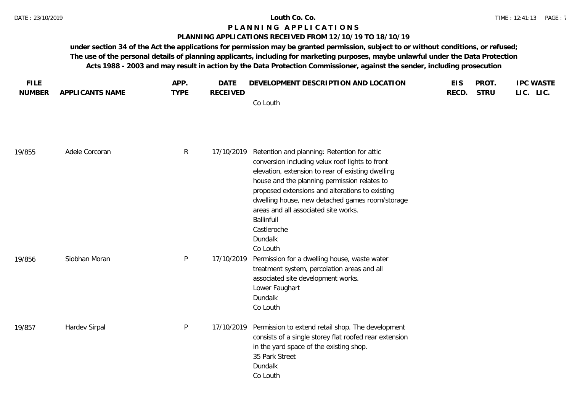### **PLANNING APPLICATIONS RECEIVED FROM 12/10/19 TO 18/10/19**

| <b>FILE</b>   |                 | APP.         | <b>DATE</b>     | DEVELOPMENT DESCRIPTION AND LOCATION                                                                                                                                                                                                                                                                                                                                                                  | <b>EIS</b> | PROT.       | <b>IPC WASTE</b> |
|---------------|-----------------|--------------|-----------------|-------------------------------------------------------------------------------------------------------------------------------------------------------------------------------------------------------------------------------------------------------------------------------------------------------------------------------------------------------------------------------------------------------|------------|-------------|------------------|
| <b>NUMBER</b> | APPLICANTS NAME | <b>TYPE</b>  | <b>RECEIVED</b> | Co Louth                                                                                                                                                                                                                                                                                                                                                                                              | RECD.      | <b>STRU</b> | LIC. LIC.        |
| 19/855        | Adele Corcoran  | $\mathsf{R}$ | 17/10/2019      | Retention and planning: Retention for attic<br>conversion including velux roof lights to front<br>elevation, extension to rear of existing dwelling<br>house and the planning permission relates to<br>proposed extensions and alterations to existing<br>dwelling house, new detached games room/storage<br>areas and all associated site works.<br>Ballinfuil<br>Castleroche<br>Dundalk<br>Co Louth |            |             |                  |
| 19/856        | Siobhan Moran   | $\mathsf{P}$ | 17/10/2019      | Permission for a dwelling house, waste water<br>treatment system, percolation areas and all<br>associated site development works.<br>Lower Faughart<br>Dundalk<br>Co Louth                                                                                                                                                                                                                            |            |             |                  |
| 19/857        | Hardev Sirpal   | $\mathsf{P}$ | 17/10/2019      | Permission to extend retail shop. The development<br>consists of a single storey flat roofed rear extension<br>in the yard space of the existing shop.<br>35 Park Street<br>Dundalk<br>Co Louth                                                                                                                                                                                                       |            |             |                  |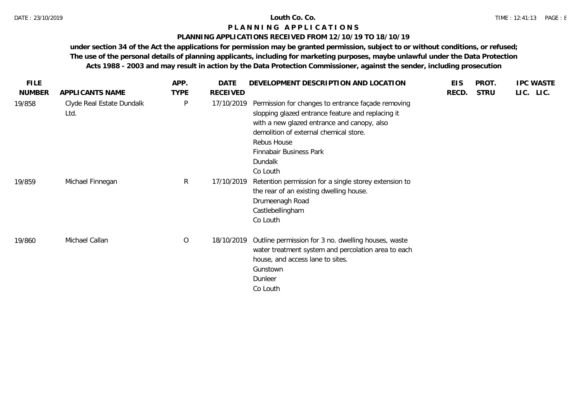## **PLANNING APPLICATIONS RECEIVED FROM 12/10/19 TO 18/10/19**

| <b>FILE</b>   |                                   | APP.        | DATE            | DEVELOPMENT DESCRIPTION AND LOCATION                                                                                                                                                                                                                              | <b>EIS</b> | PROT.       | <b>IPC WASTE</b> |
|---------------|-----------------------------------|-------------|-----------------|-------------------------------------------------------------------------------------------------------------------------------------------------------------------------------------------------------------------------------------------------------------------|------------|-------------|------------------|
| <b>NUMBER</b> | APPLICANTS NAME                   | <b>TYPE</b> | <b>RECEIVED</b> |                                                                                                                                                                                                                                                                   | RECD.      | <b>STRU</b> | LIC. LIC.        |
| 19/858        | Clyde Real Estate Dundalk<br>Ltd. | P           | 17/10/2019      | Permission for changes to entrance façade removing<br>slopping glazed entrance feature and replacing it<br>with a new glazed entrance and canopy, also<br>demolition of external chemical store.<br>Rebus House<br>Finnabair Business Park<br>Dundalk<br>Co Louth |            |             |                  |
| 19/859        | Michael Finnegan                  | R           | 17/10/2019      | Retention permission for a single storey extension to<br>the rear of an existing dwelling house.<br>Drumeenagh Road<br>Castlebellingham<br>Co Louth                                                                                                               |            |             |                  |
| 19/860        | Michael Callan                    | O           | 18/10/2019      | Outline permission for 3 no. dwelling houses, waste<br>water treatment system and percolation area to each<br>house, and access lane to sites.<br>Gunstown<br>Dunleer<br>Co Louth                                                                                 |            |             |                  |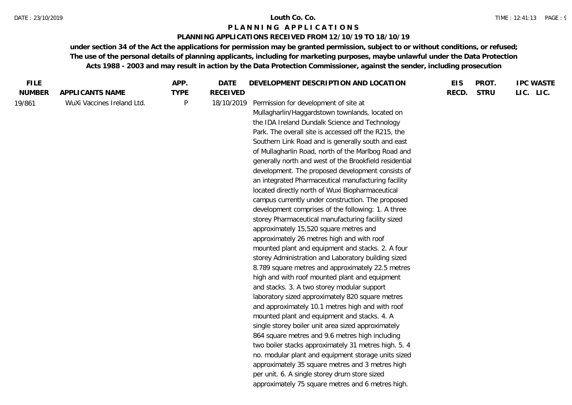## **PLANNING APPLICATIONS RECEIVED FROM 12/10/19 TO 18/10/19**

| <b>FILE</b>   |                            | APP.        | DATE            | DEVELOPMENT DESCRIPTION AND LOCATION                                                                                                                                                                                                                                                                                                                                                                                                                                                                                                                                                                                                                                                                                                                                                                                                                                                                                                                                                                                                                                                                                                                                                                                                                                                                                                                                                                                                                                                                     | <b>EIS</b> | PROT.       | <b>IPC WASTE</b> |
|---------------|----------------------------|-------------|-----------------|----------------------------------------------------------------------------------------------------------------------------------------------------------------------------------------------------------------------------------------------------------------------------------------------------------------------------------------------------------------------------------------------------------------------------------------------------------------------------------------------------------------------------------------------------------------------------------------------------------------------------------------------------------------------------------------------------------------------------------------------------------------------------------------------------------------------------------------------------------------------------------------------------------------------------------------------------------------------------------------------------------------------------------------------------------------------------------------------------------------------------------------------------------------------------------------------------------------------------------------------------------------------------------------------------------------------------------------------------------------------------------------------------------------------------------------------------------------------------------------------------------|------------|-------------|------------------|
| <b>NUMBER</b> | APPLICANTS NAME            | <b>TYPE</b> | <b>RECEIVED</b> |                                                                                                                                                                                                                                                                                                                                                                                                                                                                                                                                                                                                                                                                                                                                                                                                                                                                                                                                                                                                                                                                                                                                                                                                                                                                                                                                                                                                                                                                                                          | RECD.      | <b>STRU</b> | LIC. LIC.        |
| 19/861        | WuXi Vaccines Ireland Ltd. | $\sf P$     | 18/10/2019      | Permission for development of site at<br>Mullagharlin/Haggardstown townlands, located on<br>the IDA Ireland Dundalk Science and Technology<br>Park. The overall site is accessed off the R215, the<br>Southern Link Road and is generally south and east<br>of Mullagharlin Road, north of the Marlbog Road and<br>generally north and west of the Brookfield residential<br>development. The proposed development consists of<br>an integrated Pharmaceutical manufacturing facility<br>located directly north of Wuxi Biopharmaceutical<br>campus currently under construction. The proposed<br>development comprises of the following: 1. A three<br>storey Pharmaceutical manufacturing facility sized<br>approximately 15,520 square metres and<br>approximately 26 metres high and with roof<br>mounted plant and equipment and stacks. 2. A four<br>storey Administration and Laboratory building sized<br>8.789 square metres and approximately 22.5 metres<br>high and with roof mounted plant and equipment<br>and stacks. 3. A two storey modular support<br>laboratory sized approximately 820 square metres<br>and approximately 10.1 metres high and with roof<br>mounted plant and equipment and stacks. 4. A<br>single storey boiler unit area sized approximately<br>864 square metres and 9.6 metres high including<br>two boiler stacks approximately 31 metres high. 5. 4<br>no. modular plant and equipment storage units sized<br>approximately 35 square metres and 3 metres high |            |             |                  |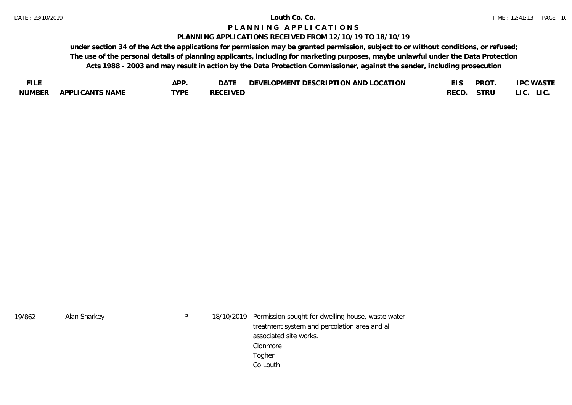### **PLANNING APPLICATIONS RECEIVED FROM 12/10/19 TO 18/10/19**

| <b>FILE</b> |                  | APP  | $DA^T$          | LOPMENT DESCRIPTION AND LOCATION<br>JE VET |      | <b>PROT</b> | <b>PC WASTE</b> |
|-------------|------------------|------|-----------------|--------------------------------------------|------|-------------|-----------------|
| NUMBER      | APPLI CANTS NAME | TYPE | <b>RECEIVED</b> |                                            | RECL | STRU        | LIC.            |

| 19/862 | Alan Sharkey | P | 18/10/2019 Permission sought for dwelling house, waste water |
|--------|--------------|---|--------------------------------------------------------------|
|        |              |   | treatment system and percolation area and all                |
|        |              |   | associated site works.                                       |
|        |              |   | Clonmore                                                     |
|        |              |   | Togher                                                       |
|        |              |   | Co Louth                                                     |
|        |              |   |                                                              |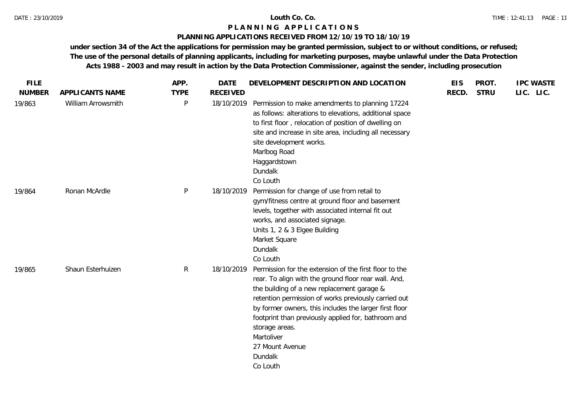### **PLANNING APPLICATIONS RECEIVED FROM 12/10/19 TO 18/10/19**

| <b>FILE</b>   |                    | APP.         | <b>DATE</b>     | DEVELOPMENT DESCRIPTION AND LOCATION                                                                                                                                                                                                                                                                                                                                                                            | <b>EIS</b> | PROT.       | <b>IPC WASTE</b> |
|---------------|--------------------|--------------|-----------------|-----------------------------------------------------------------------------------------------------------------------------------------------------------------------------------------------------------------------------------------------------------------------------------------------------------------------------------------------------------------------------------------------------------------|------------|-------------|------------------|
| <b>NUMBER</b> | APPLICANTS NAME    | <b>TYPE</b>  | <b>RECEIVED</b> |                                                                                                                                                                                                                                                                                                                                                                                                                 | RECD.      | <b>STRU</b> | LIC. LIC.        |
| 19/863        | William Arrowsmith | P            | 18/10/2019      | Permission to make amendments to planning 17224<br>as follows: alterations to elevations, additional space<br>to first floor, relocation of position of dwelling on<br>site and increase in site area, including all necessary<br>site development works.<br>Marlbog Road<br>Haggardstown<br>Dundalk<br>Co Louth                                                                                                |            |             |                  |
| 19/864        | Ronan McArdle      | P            | 18/10/2019      | Permission for change of use from retail to<br>gym/fitness centre at ground floor and basement<br>levels, together with associated internal fit out<br>works, and associated signage.<br>Units 1, 2 & 3 Elgee Building<br>Market Square<br>Dundalk<br>Co Louth                                                                                                                                                  |            |             |                  |
| 19/865        | Shaun Esterhuizen  | $\mathsf{R}$ | 18/10/2019      | Permission for the extension of the first floor to the<br>rear. To align with the ground floor rear wall. And,<br>the building of a new replacement garage &<br>retention permission of works previously carried out<br>by former owners, this includes the larger first floor<br>footprint than previously applied for, bathroom and<br>storage areas.<br>Martoliver<br>27 Mount Avenue<br>Dundalk<br>Co Louth |            |             |                  |